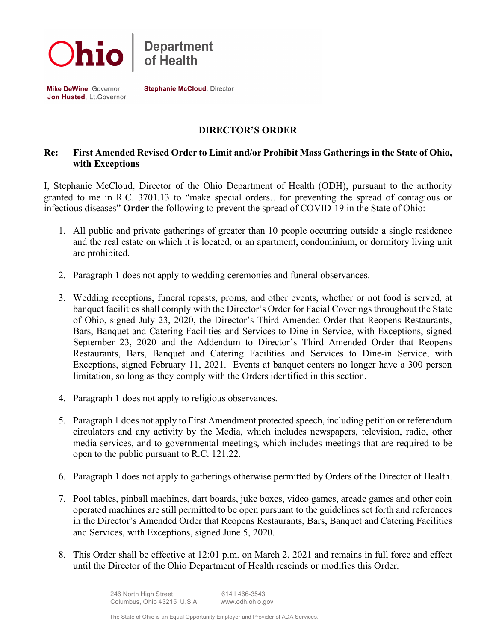

Mike DeWine, Governor Jon Husted, Lt.Governor **Stephanie McCloud, Director** 

## **DIRECTOR'S ORDER**

## **Re: First Amended Revised Order to Limit and/or Prohibit Mass Gatherings in the State of Ohio, with Exceptions**

I, Stephanie McCloud, Director of the Ohio Department of Health (ODH), pursuant to the authority granted to me in R.C. 3701.13 to "make special orders…for preventing the spread of contagious or infectious diseases" **Order** the following to prevent the spread of COVID-19 in the State of Ohio:

- 1. All public and private gatherings of greater than 10 people occurring outside a single residence and the real estate on which it is located, or an apartment, condominium, or dormitory living unit are prohibited.
- 2. Paragraph 1 does not apply to wedding ceremonies and funeral observances.
- 3. Wedding receptions, funeral repasts, proms, and other events, whether or not food is served, at banquet facilities shall comply with the Director's Order for Facial Coverings throughout the State of Ohio, signed July 23, 2020, the Director's Third Amended Order that Reopens Restaurants, Bars, Banquet and Catering Facilities and Services to Dine-in Service, with Exceptions, signed September 23, 2020 and the Addendum to Director's Third Amended Order that Reopens Restaurants, Bars, Banquet and Catering Facilities and Services to Dine-in Service, with Exceptions, signed February 11, 2021. Events at banquet centers no longer have a 300 person limitation, so long as they comply with the Orders identified in this section.
- 4. Paragraph 1 does not apply to religious observances.
- 5. Paragraph 1 does not apply to First Amendment protected speech, including petition or referendum circulators and any activity by the Media, which includes newspapers, television, radio, other media services, and to governmental meetings, which includes meetings that are required to be open to the public pursuant to R.C. 121.22.
- 6. Paragraph 1 does not apply to gatherings otherwise permitted by Orders of the Director of Health.
- 7. Pool tables, pinball machines, dart boards, juke boxes, video games, arcade games and other coin operated machines are still permitted to be open pursuant to the guidelines set forth and references in the Director's Amended Order that Reopens Restaurants, Bars, Banquet and Catering Facilities and Services, with Exceptions, signed June 5, 2020.
- 8. This Order shall be effective at 12:01 p.m. on March 2, 2021 and remains in full force and effect until the Director of the Ohio Department of Health rescinds or modifies this Order.

 246 North High Street 614 I 466-3543 Columbus, Ohio 43215 U.S.A. www.odh.ohio.gov